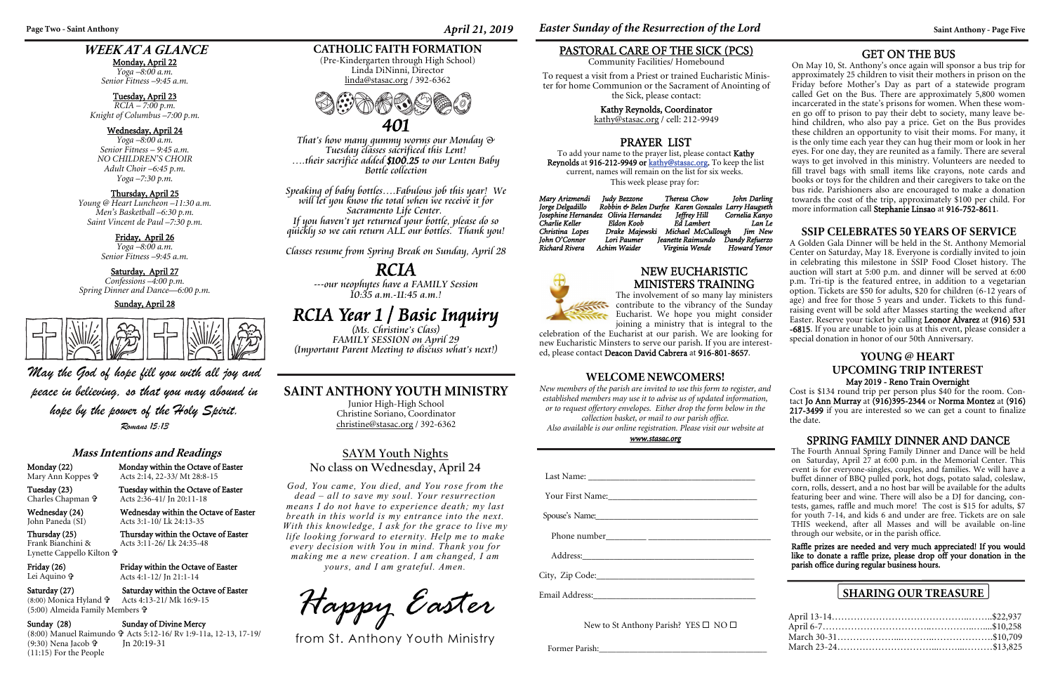## **Mass Intentions and Readings**

Monday (22) Monday within the Octave of Easter Mary Ann Koppes

Acts 2:14, 22-33/ Mt 28:8-15

Tuesday (23) Tuesday within the Octave of Easter

Charles Chapman

Wednesday (24) Wednesday within the Octave of Easter<br>John Paneda (SI) Acts 3:1-10/ Lk 24:13-35

Acts 2:36-41/ Jn 20:11-18

Acts 3:1-10/ Lk 24:13-35

Friday within the Octave of Easter Acts 4:1-12/ Jn 21:1-14

Saturday (27) Saturday within the Octave of Easter Acts 4:13-21/ Mk 16:9-15 (5:00) Almeida Family Members **†** 

#### Sunday (28) Sunday of Divine Mercy

Thursday (25) Thursday within the Octave of Easter & Acts 3:11-26/ Lk 24:35-48

Frank BianchiniLynette Cappello Kilton

Lei Aquino

(8:00) Monica Hyland

(8:00) Manuel Raimundo Acts 5:12-16/ Rv 1:9-11a, 12-13, 17-19/ Jn 20:19-31

(9:30) Nena Jacob (11:15) For the People

#### **WEEK AT A GLANCE**

Monday, April 22 *Yoga –8:00 a.m. Senior Fitness –9:45 a.m.* 

Tuesday, April 23 *RCIA – 7:00 p.m. Knight of Columbus –7:00 p.m.* 

Wednesday, April 24 *Yoga –8:00 a.m. Senior Fitness – 9:45 a.m. NO CHILDREN'S CHOIR Adult Choir –6:45 p.m. Yoga –7:30 p.m.* 

Thursday, April 25 *Young @ Heart Luncheon –11:30 a.m. Men's Basketball –6:30 p.m. Saint Vincent de Paul –7:30 p.m.* 

> Friday, April 26 *Yoga –8:00 a.m. Senior Fitness –9:45 a.m.*

#### Saturday, April 27

*Confessions –4:00 p.m. Spring Dinner and Dance—6:00 p.m.* 

Sunday, April 28



#### **WELCOME NEWCOMERS!**

*New members of the parish are invited to use this form to register, and established members may use it to advise us of updated information, or to request offertory envelopes. Either drop the form below in the collection basket, or mail to our parish office.* 

*Also available is our online registration. Please visit our website at www.stasac.org* 

#### **CATHOLIC FAITH FORMATION**

(Pre-Kindergarten through High School) Linda DiNinni, Director linda@stasac.org / 392-6362

> To add your name to the prayer list, please contact Kathy Reynolds at 916-212-9949 or kathy@stasac.org. To keep the list current, names will remain on the list for six weeks. This week please pray for:

#### **SAINT ANTHONY YOUTH MINISTRY**

Junior High-High School Christine Soriano, Coordinator christine@stasac.org / 392-6362

#### **SHARING OUR TREASURE**



That's how many gummy worms our Monday  $\Theta$ <br>Tuesday classes sacrificed this Lent!<br>…their sacrifice added \$100.25 to our Lenten Baby<br>Bottle collection

Speaking of baby bottles....Fabulous job this year! We<br>will let you know the total when we receive it for<br>Sacramento Life Center.<br>If you haven't yet returned your bottle, please do so<br>quickly so we can return ALL our bottl

On May 10, St. Anthony's once again will sponsor a bus trip for approximately 25 children to visit their mothers in prison on the Friday before Mother's Day as part of a statewide program called Get on the Bus. There are approximately 5,800 women incarcerated in the state's prisons for women. When these women go off to prison to pay their debt to society, many leave behind children, who also pay a price. Get on the Bus provides these children an opportunity to visit their moms. For many, it is the only time each year they can hug their mom or look in her eyes. For one day, they are reunited as a family. There are several ways to get involved in this ministry. Volunteers are needed to fill travel bags with small items like crayons, note cards and books or toys for the children and their caregivers to take on the bus ride. Parishioners also are encouraged to make a donation towards the cost of the trip, approximately \$100 per child. For more information call Stephanie Linsao at 916-752-8611.

Classes resume from Spring Break on Sunday, April 28

### RCIA

---our neophytes have a FAMILY Session  $10:35$  a.m.-11:45 a.m.!

# **RCIA Year 1 / Basic Inquiry**<br>(Ms. Christine's Class)<br>FAMILY SESSION on April 29

(Important Parent Meeting to discuss what's next!)

#### **SAYM Youth Nights No class on Wednesday, April 24**

*God, You came, You died, and You rose from the dead – all to save my soul. Your resurrection means I do not have to experience death; my last breath in this world is my entrance into the next. With this knowledge, I ask for the grace to live my life looking forward to eternity. Help me to make every decision with You in mind. Thank you for making me a new creation. I am changed, I am yours, and I am grateful. Amen.* 

*Happy Easter* 

from St. Anthony Youth Ministry

Page Two - Saint Anthony *April 21, 2019 Easter Sunday of the Resurrection of the Lord Saint Anthony - Page Five* 

#### PASTORAL CARE OF THE SICK (PCS)

Community Facilities/ Homebound

To request a visit from a Priest or trained Eucharistic Minister for home Communion or the Sacrament of Anointing of the Sick, please contact:

Kathy Reynolds, Coordinator

kathy@stasac.org / cell: 212-9949

*May the God of hope fill you with all joy and peace in believing, so that you may abound in hope by the power of the Holy Spirit. Romans 15:13* 

#### PRAYER LIST

*Mary Arizmendi Judy Bezzone Theresa Chow John Darling Jorge Delgadillo Robbin & Belen Durfee Karen Gonzales Larry Haugseth Josephine Hernandez Olivia Hernandez Jeffrey Hill Cornelia Kanyo <i>Charlie Keller Christina Lopes Drake Majewski Michael McCullough Jim New John O'Connor Lori Paumer Jeanette Raimundo Dandy Refuerzo Richard Rivera Achim Waider Virginia Wende Howard Yenor*

| Your First Name: |  |
|------------------|--|
| Spouse's Name:   |  |
|                  |  |
|                  |  |
|                  |  |
|                  |  |

New to St Anthony Parish? YES □ NO □

Former Parish:

#### GET ON THE BUS

#### SPRING FAMILY DINNER AND DANCE

The Fourth Annual Spring Family Dinner and Dance will be held on Saturday, April 27 at 6:00 p.m. in the Memorial Center. This event is for everyone-singles, couples, and families. We will have a buffet dinner of BBQ pulled pork, hot dogs, potato salad, coleslaw, corn, rolls, dessert, and a no host bar will be available for the adults featuring beer and wine. There will also be a DJ for dancing, contests, games, raffle and much more! The cost is \$15 for adults, \$7 for youth 7-14, and kids 6 and under are free. Tickets are on sale THIS weekend, after all Masses and will be available on-line through our website, or in the parish office.

Raffle prizes are needed and very much appreciated! If you would like to donate a raffle prize, please drop off your donation in the parish office during regular business hours.

# NEW EUCHARISTIC



MINISTERS TRAINING The involvement of so many lay ministers contribute to the vibrancy of the Sunday

Eucharist. We hope you might consider joining a ministry that is integral to the celebration of the Eucharist at our parish. We are looking for new Eucharistic Minsters to serve our parish. If you are interest-

#### ed, please contact Deacon David Cabrera at 916-801-8657. **YOUNG @ HEART UPCOMING TRIP INTEREST** May 2019 - Reno Train Overnight

Cost is \$134 round trip per person plus \$40 for the room. Contact Jo Ann Murray at  $(916)395-2344$  or Norma Montez at (916) 217-3499 if you are interested so we can get a count to finalize the date.

#### **SSIP CELEBRATES 50 YEARS OF SERVICE**

A Golden Gala Dinner will be held in the St. Anthony Memorial Center on Saturday, May 18. Everyone is cordially invited to join in celebrating this milestone in SSIP Food Closet history. The auction will start at 5:00 p.m. and dinner will be served at 6:00 p.m. Tri-tip is the featured entree, in addition to a vegetarian option. Tickets are \$50 for adults, \$20 for children (6-12 years of age) and free for those 5 years and under. Tickets to this fundraising event will be sold after Masses starting the weekend after Easter. Reserve your ticket by calling Leonor Alvarez at (916) 531 -6815. If you are unable to join us at this event, please consider a special donation in honor of our 50th Anniversary.